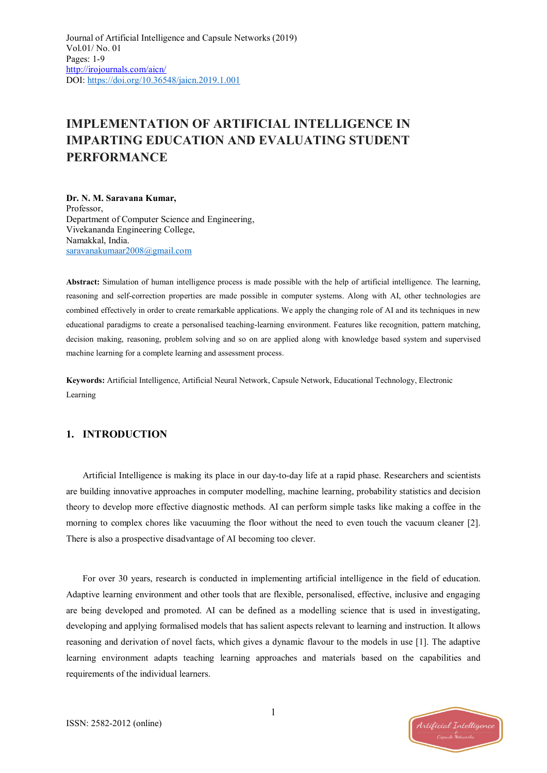# **IMPLEMENTATION OF ARTIFICIAL INTELLIGENCE IN IMPARTING EDUCATION AND EVALUATING STUDENT PERFORMANCE**

**Dr. N. M. Saravana Kumar,** Professor, Department of Computer Science and Engineering, Vivekananda Engineering College, Namakkal, India. [saravanakumaar2008@gmail.com](mailto:saravanakumaar2008@gmail.com)

**Abstract:** Simulation of human intelligence process is made possible with the help of artificial intelligence. The learning, reasoning and self-correction properties are made possible in computer systems. Along with AI, other technologies are combined effectively in order to create remarkable applications. We apply the changing role of AI and its techniques in new educational paradigms to create a personalised teaching-learning environment. Features like recognition, pattern matching, decision making, reasoning, problem solving and so on are applied along with knowledge based system and supervised machine learning for a complete learning and assessment process.

**Keywords:** Artificial Intelligence, Artificial Neural Network, Capsule Network, Educational Technology, Electronic Learning

## **1. INTRODUCTION**

Artificial Intelligence is making its place in our day-to-day life at a rapid phase. Researchers and scientists are building innovative approaches in computer modelling, machine learning, probability statistics and decision theory to develop more effective diagnostic methods. AI can perform simple tasks like making a coffee in the morning to complex chores like vacuuming the floor without the need to even touch the vacuum cleaner [2]. There is also a prospective disadvantage of AI becoming too clever.

For over 30 years, research is conducted in implementing artificial intelligence in the field of education. Adaptive learning environment and other tools that are flexible, personalised, effective, inclusive and engaging are being developed and promoted. AI can be defined as a modelling science that is used in investigating, developing and applying formalised models that has salient aspects relevant to learning and instruction. It allows reasoning and derivation of novel facts, which gives a dynamic flavour to the models in use [1]. The adaptive learning environment adapts teaching learning approaches and materials based on the capabilities and requirements of the individual learners.

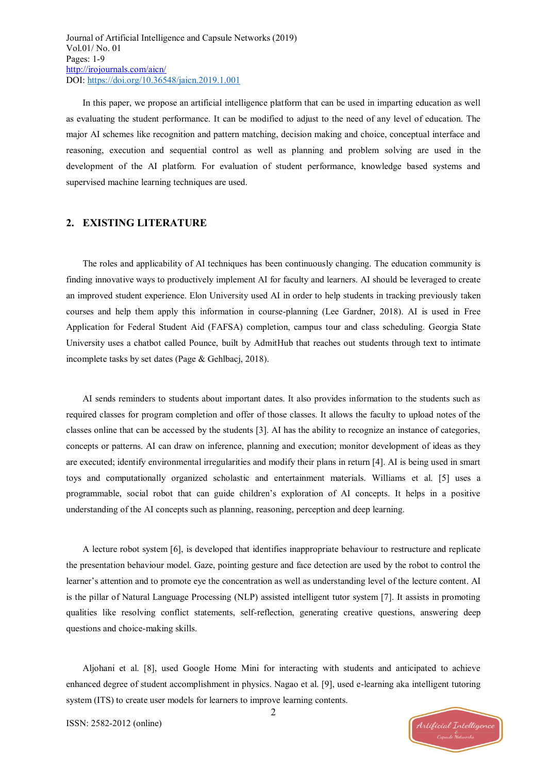In this paper, we propose an artificial intelligence platform that can be used in imparting education as well as evaluating the student performance. It can be modified to adjust to the need of any level of education. The major AI schemes like recognition and pattern matching, decision making and choice, conceptual interface and reasoning, execution and sequential control as well as planning and problem solving are used in the development of the AI platform. For evaluation of student performance, knowledge based systems and supervised machine learning techniques are used.

### **2. EXISTING LITERATURE**

The roles and applicability of AI techniques has been continuously changing. The education community is finding innovative ways to productively implement AI for faculty and learners. AI should be leveraged to create an improved student experience. Elon University used AI in order to help students in tracking previously taken courses and help them apply this information in course-planning (Lee Gardner, 2018). AI is used in Free Application for Federal Student Aid (FAFSA) completion, campus tour and class scheduling. Georgia State University uses a chatbot called Pounce, built by AdmitHub that reaches out students through text to intimate incomplete tasks by set dates (Page & Gehlbacj, 2018).

AI sends reminders to students about important dates. It also provides information to the students such as required classes for program completion and offer of those classes. It allows the faculty to upload notes of the classes online that can be accessed by the students [3]. AI has the ability to recognize an instance of categories, concepts or patterns. AI can draw on inference, planning and execution; monitor development of ideas as they are executed; identify environmental irregularities and modify their plans in return [4]. AI is being used in smart toys and computationally organized scholastic and entertainment materials. Williams et al. [5] uses a programmable, social robot that can guide children's exploration of AI concepts. It helps in a positive understanding of the AI concepts such as planning, reasoning, perception and deep learning.

A lecture robot system [6], is developed that identifies inappropriate behaviour to restructure and replicate the presentation behaviour model. Gaze, pointing gesture and face detection are used by the robot to control the learner's attention and to promote eye the concentration as well as understanding level of the lecture content. AI is the pillar of Natural Language Processing (NLP) assisted intelligent tutor system [7]. It assists in promoting qualities like resolving conflict statements, self-reflection, generating creative questions, answering deep questions and choice-making skills.

Aljohani et al. [8], used Google Home Mini for interacting with students and anticipated to achieve enhanced degree of student accomplishment in physics. Nagao et al. [9], used e-learning aka intelligent tutoring system (ITS) to create user models for learners to improve learning contents.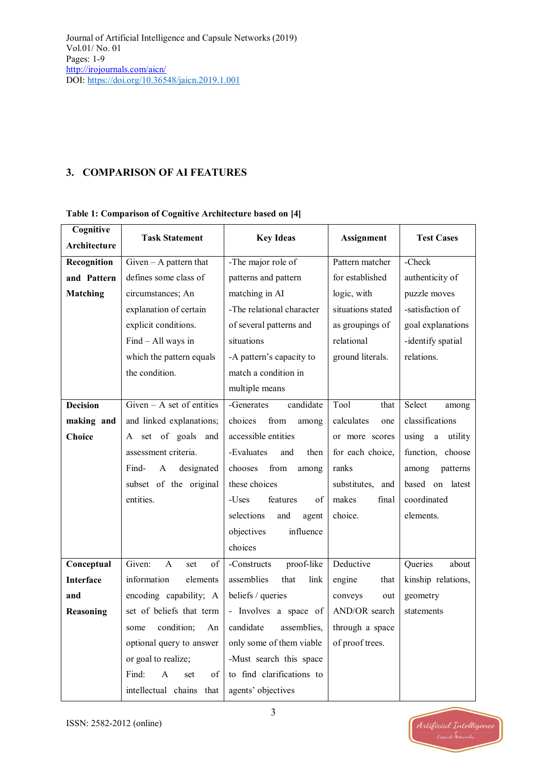# **3. COMPARISON OF AI FEATURES**

#### **Cognitive Architecture Task Statement Key Ideas Assignment Test Cases Recognition and Pattern Matching**  $Given - A$  pattern that defines some class of circumstances; An explanation of certain explicit conditions. Find – All ways in which the pattern equals the condition. -The major role of patterns and pattern matching in AI -The relational character of several patterns and situations -A pattern's capacity to match a condition in multiple means Pattern matcher for established logic, with situations stated as groupings of relational ground literals. -Check authenticity of puzzle moves -satisfaction of goal explanations -identify spatial relations. **Decision making and Choice** Given – A set of entities and linked explanations; A set of goals and assessment criteria. Find- A designated subset of the original entities. -Generates candidate choices from among accessible entities -Evaluates and then chooses from among these choices -Uses features of selections and agent objectives influence choices Tool that calculates one or more scores for each choice, ranks substitutes, and makes final choice. Select among classifications using a utility function, choose among patterns based on latest coordinated elements. **Conceptual Interface and Reasoning** Given: A set of information elements encoding capability; A set of beliefs that term some condition; An optional query to answer or goal to realize; Find: A set of intellectual chains that -Constructs proof-like assemblies that link beliefs / queries - Involves a space of candidate assemblies, only some of them viable -Must search this space to find clarifications to agents' objectives Deductive engine that conveys out AND/OR search through a space of proof trees. Queries about kinship relations, geometry statements

#### **Table 1: Comparison of Cognitive Architecture based on [4]**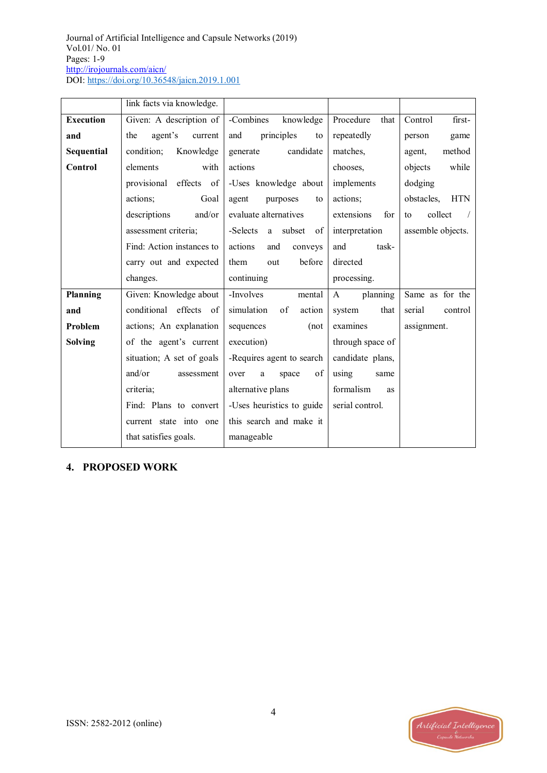|                  | link facts via knowledge. |                            |                          |                          |
|------------------|---------------------------|----------------------------|--------------------------|--------------------------|
| <b>Execution</b> | Given: A description of   | -Combines<br>knowledge     | Procedure<br>that        | Control<br>first-        |
| and              | agent's<br>the<br>current | principles<br>and<br>to    | repeatedly               | game<br>person           |
| Sequential       | condition;<br>Knowledge   | candidate<br>generate      | matches.                 | method<br>agent,         |
| Control          | elements<br>with          | actions                    | chooses.                 | while<br>objects         |
|                  | effects of<br>provisional | -Uses knowledge about      | implements               | dodging                  |
|                  | actions;<br>Goal          | agent<br>purposes<br>to    | actions;                 | obstacles,<br><b>HTN</b> |
|                  | descriptions<br>and/or    | evaluate alternatives      | extensions<br>for        | collect<br>to            |
|                  | assessment criteria;      | -Selects<br>a subset<br>of | interpretation           | assemble objects.        |
|                  | Find: Action instances to | actions<br>and<br>conveys  | task-<br>and             |                          |
|                  | carry out and expected    | before<br>them<br>out      | directed                 |                          |
|                  | changes.                  | continuing                 | processing.              |                          |
| Planning         | Given: Knowledge about    | -Involves<br>mental        | planning<br>$\mathbf{A}$ | Same as for the          |
| and              | conditional effects of    | simulation<br>of<br>action | system<br>that           | serial<br>control        |
| Problem          | actions; An explanation   | sequences<br>(not)         | examines                 | assignment.              |
| <b>Solving</b>   | of the agent's current    | execution)                 | through space of         |                          |
|                  | situation; A set of goals | -Requires agent to search  | candidate plans,         |                          |
|                  | and/or<br>assessment      | of<br>over<br>space<br>a   | using<br>same            |                          |
|                  | criteria;                 | alternative plans          | formalism<br>as          |                          |
|                  | Find: Plans to convert    | -Uses heuristics to guide  | serial control.          |                          |
|                  | current state into one    | this search and make it    |                          |                          |
|                  | that satisfies goals.     | manageable                 |                          |                          |

# **4. PROPOSED WORK**

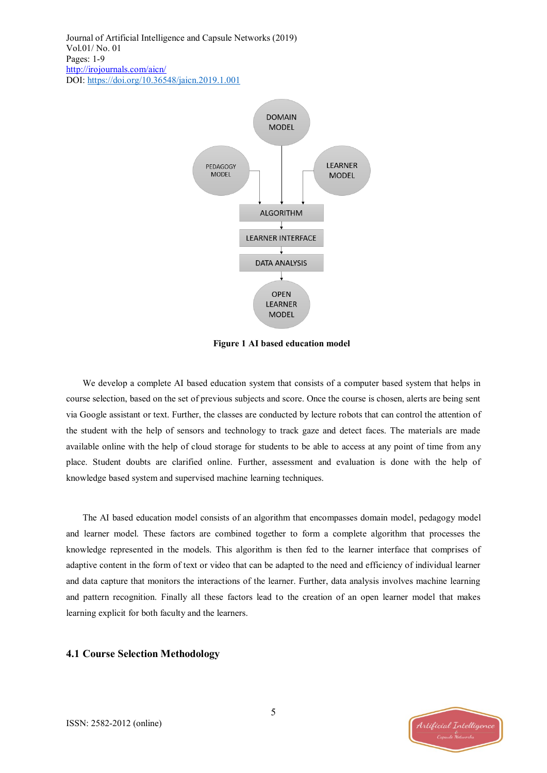

**Figure 1 AI based education model**

We develop a complete AI based education system that consists of a computer based system that helps in course selection, based on the set of previous subjects and score. Once the course is chosen, alerts are being sent via Google assistant or text. Further, the classes are conducted by lecture robots that can control the attention of the student with the help of sensors and technology to track gaze and detect faces. The materials are made available online with the help of cloud storage for students to be able to access at any point of time from any place. Student doubts are clarified online. Further, assessment and evaluation is done with the help of knowledge based system and supervised machine learning techniques.

The AI based education model consists of an algorithm that encompasses domain model, pedagogy model and learner model. These factors are combined together to form a complete algorithm that processes the knowledge represented in the models. This algorithm is then fed to the learner interface that comprises of adaptive content in the form of text or video that can be adapted to the need and efficiency of individual learner and data capture that monitors the interactions of the learner. Further, data analysis involves machine learning and pattern recognition. Finally all these factors lead to the creation of an open learner model that makes learning explicit for both faculty and the learners.

#### **4.1 Course Selection Methodology**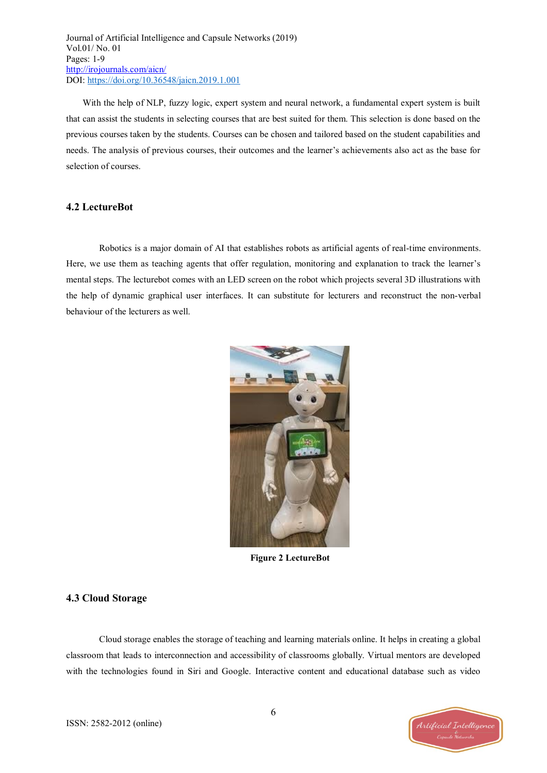With the help of NLP, fuzzy logic, expert system and neural network, a fundamental expert system is built that can assist the students in selecting courses that are best suited for them. This selection is done based on the previous courses taken by the students. Courses can be chosen and tailored based on the student capabilities and needs. The analysis of previous courses, their outcomes and the learner's achievements also act as the base for selection of courses.

#### **4.2 LectureBot**

Robotics is a major domain of AI that establishes robots as artificial agents of real-time environments. Here, we use them as teaching agents that offer regulation, monitoring and explanation to track the learner's mental steps. The lecturebot comes with an LED screen on the robot which projects several 3D illustrations with the help of dynamic graphical user interfaces. It can substitute for lecturers and reconstruct the non-verbal behaviour of the lecturers as well.



**Figure 2 LectureBot**

#### **4.3 Cloud Storage**

Cloud storage enables the storage of teaching and learning materials online. It helps in creating a global classroom that leads to interconnection and accessibility of classrooms globally. Virtual mentors are developed with the technologies found in Siri and Google. Interactive content and educational database such as video

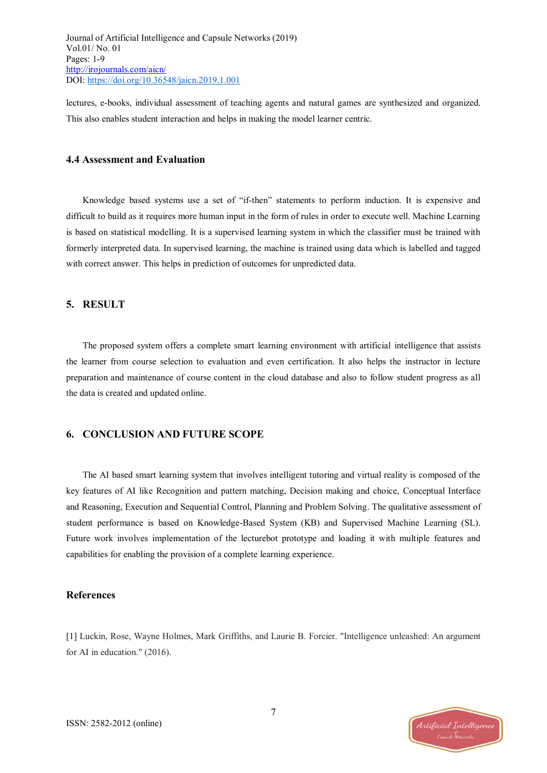lectures, e-books, individual assessment of teaching agents and natural games are synthesized and organized. This also enables student interaction and helps in making the model learner centric.

#### **4.4 Assessment and Evaluation**

Knowledge based systems use a set of "if-then" statements to perform induction. It is expensive and difficult to build as it requires more human input in the form of rules in order to execute well. Machine Learning is based on statistical modelling. It is a supervised learning system in which the classifier must be trained with formerly interpreted data. In supervised learning, the machine is trained using data which is labelled and tagged with correct answer. This helps in prediction of outcomes for unpredicted data.

#### **5. RESULT**

The proposed system offers a complete smart learning environment with artificial intelligence that assists the learner from course selection to evaluation and even certification. It also helps the instructor in lecture preparation and maintenance of course content in the cloud database and also to follow student progress as all the data is created and updated online.

#### **6. CONCLUSION AND FUTURE SCOPE**

The AI based smart learning system that involves intelligent tutoring and virtual reality is composed of the key features of AI like Recognition and pattern matching, Decision making and choice, Conceptual Interface and Reasoning, Execution and Sequential Control, Planning and Problem Solving. The qualitative assessment of student performance is based on Knowledge-Based System (KB) and Supervised Machine Learning (SL). Future work involves implementation of the lecturebot prototype and loading it with multiple features and capabilities for enabling the provision of a complete learning experience.

#### **References**

[1] Luckin, Rose, Wayne Holmes, Mark Griffiths, and Laurie B. Forcier. "Intelligence unleashed: An argument for AI in education." (2016).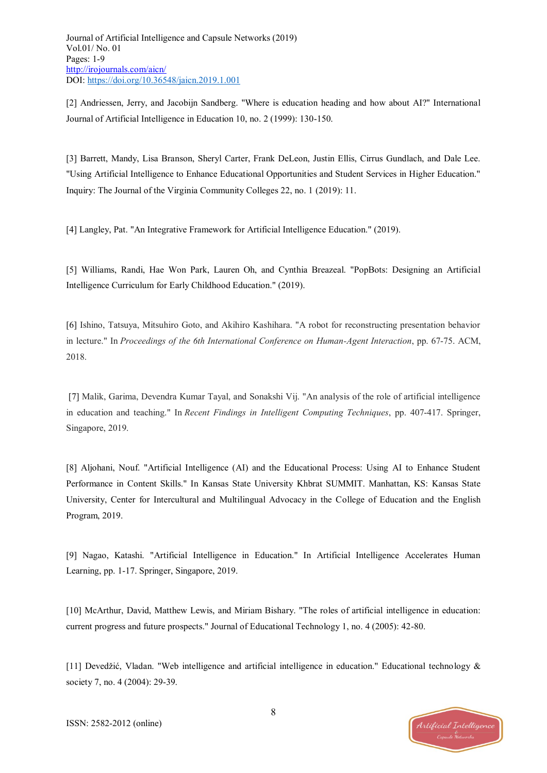[2] Andriessen, Jerry, and Jacobijn Sandberg. "Where is education heading and how about AI?" International Journal of Artificial Intelligence in Education 10, no. 2 (1999): 130-150.

[3] Barrett, Mandy, Lisa Branson, Sheryl Carter, Frank DeLeon, Justin Ellis, Cirrus Gundlach, and Dale Lee. "Using Artificial Intelligence to Enhance Educational Opportunities and Student Services in Higher Education." Inquiry: The Journal of the Virginia Community Colleges 22, no. 1 (2019): 11.

[4] Langley, Pat. "An Integrative Framework for Artificial Intelligence Education." (2019).

[5] Williams, Randi, Hae Won Park, Lauren Oh, and Cynthia Breazeal. "PopBots: Designing an Artificial Intelligence Curriculum for Early Childhood Education." (2019).

[6] Ishino, Tatsuya, Mitsuhiro Goto, and Akihiro Kashihara. "A robot for reconstructing presentation behavior in lecture." In *Proceedings of the 6th International Conference on Human-Agent Interaction*, pp. 67-75. ACM, 2018.

[7] Malik, Garima, Devendra Kumar Tayal, and Sonakshi Vij. "An analysis of the role of artificial intelligence in education and teaching." In *Recent Findings in Intelligent Computing Techniques*, pp. 407-417. Springer, Singapore, 2019.

[8] Aljohani, Nouf. "Artificial Intelligence (AI) and the Educational Process: Using AI to Enhance Student Performance in Content Skills." In Kansas State University Khbrat SUMMIT. Manhattan, KS: Kansas State University, Center for Intercultural and Multilingual Advocacy in the College of Education and the English Program, 2019.

[9] Nagao, Katashi. "Artificial Intelligence in Education." In Artificial Intelligence Accelerates Human Learning, pp. 1-17. Springer, Singapore, 2019.

[10] McArthur, David, Matthew Lewis, and Miriam Bishary. "The roles of artificial intelligence in education: current progress and future prospects." Journal of Educational Technology 1, no. 4 (2005): 42-80.

[11] Devedžić, Vladan. "Web intelligence and artificial intelligence in education." Educational technology & society 7, no. 4 (2004): 29-39.

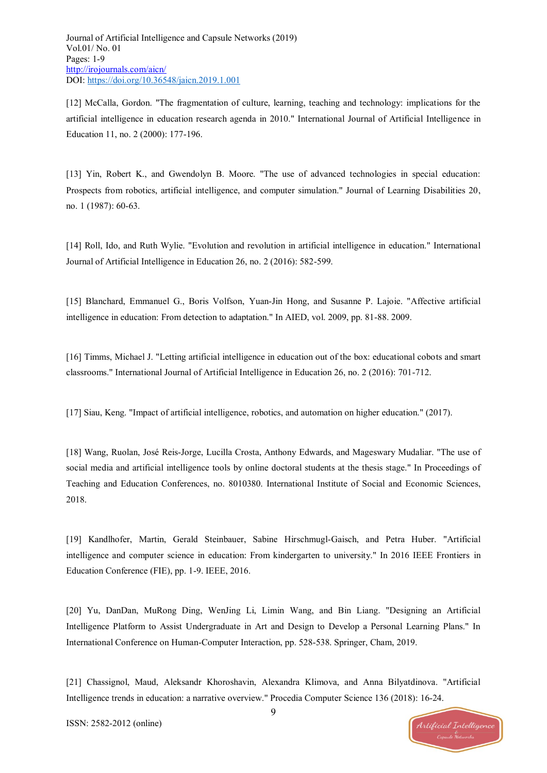[12] McCalla, Gordon. "The fragmentation of culture, learning, teaching and technology: implications for the artificial intelligence in education research agenda in 2010." International Journal of Artificial Intelligence in Education 11, no. 2 (2000): 177-196.

[13] Yin, Robert K., and Gwendolyn B. Moore. "The use of advanced technologies in special education: Prospects from robotics, artificial intelligence, and computer simulation." Journal of Learning Disabilities 20, no. 1 (1987): 60-63.

[14] Roll, Ido, and Ruth Wylie. "Evolution and revolution in artificial intelligence in education." International Journal of Artificial Intelligence in Education 26, no. 2 (2016): 582-599.

[15] Blanchard, Emmanuel G., Boris Volfson, Yuan-Jin Hong, and Susanne P. Lajoie. "Affective artificial intelligence in education: From detection to adaptation." In AIED, vol. 2009, pp. 81-88. 2009.

[16] Timms, Michael J. "Letting artificial intelligence in education out of the box: educational cobots and smart classrooms." International Journal of Artificial Intelligence in Education 26, no. 2 (2016): 701-712.

[17] Siau, Keng. "Impact of artificial intelligence, robotics, and automation on higher education." (2017).

[18] Wang, Ruolan, José Reis-Jorge, Lucilla Crosta, Anthony Edwards, and Mageswary Mudaliar. "The use of social media and artificial intelligence tools by online doctoral students at the thesis stage." In Proceedings of Teaching and Education Conferences, no. 8010380. International Institute of Social and Economic Sciences, 2018.

[19] Kandlhofer, Martin, Gerald Steinbauer, Sabine Hirschmugl-Gaisch, and Petra Huber. "Artificial intelligence and computer science in education: From kindergarten to university." In 2016 IEEE Frontiers in Education Conference (FIE), pp. 1-9. IEEE, 2016.

[20] Yu, DanDan, MuRong Ding, WenJing Li, Limin Wang, and Bin Liang. "Designing an Artificial Intelligence Platform to Assist Undergraduate in Art and Design to Develop a Personal Learning Plans." In International Conference on Human-Computer Interaction, pp. 528-538. Springer, Cham, 2019.

[21] Chassignol, Maud, Aleksandr Khoroshavin, Alexandra Klimova, and Anna Bilyatdinova. "Artificial Intelligence trends in education: a narrative overview." Procedia Computer Science 136 (2018): 16-24.